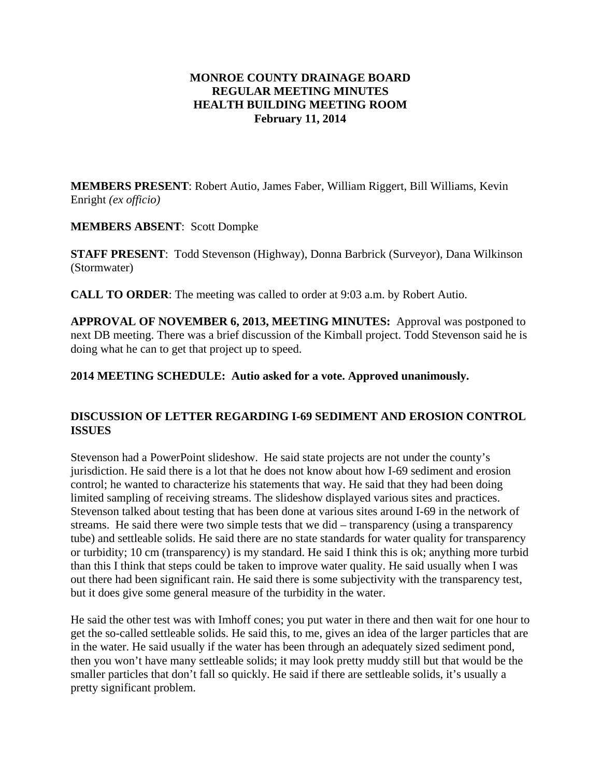### **MONROE COUNTY DRAINAGE BOARD REGULAR MEETING MINUTES HEALTH BUILDING MEETING ROOM February 11, 2014**

**MEMBERS PRESENT**: Robert Autio, James Faber, William Riggert, Bill Williams, Kevin Enright *(ex officio)*

#### **MEMBERS ABSENT**: Scott Dompke

**STAFF PRESENT**: Todd Stevenson (Highway), Donna Barbrick (Surveyor), Dana Wilkinson (Stormwater)

**CALL TO ORDER**: The meeting was called to order at 9:03 a.m. by Robert Autio.

**APPROVAL OF NOVEMBER 6, 2013, MEETING MINUTES:** Approval was postponed to next DB meeting. There was a brief discussion of the Kimball project. Todd Stevenson said he is doing what he can to get that project up to speed.

# **2014 MEETING SCHEDULE: Autio asked for a vote. Approved unanimously.**

# **DISCUSSION OF LETTER REGARDING I-69 SEDIMENT AND EROSION CONTROL ISSUES**

Stevenson had a PowerPoint slideshow. He said state projects are not under the county's jurisdiction. He said there is a lot that he does not know about how I-69 sediment and erosion control; he wanted to characterize his statements that way. He said that they had been doing limited sampling of receiving streams. The slideshow displayed various sites and practices. Stevenson talked about testing that has been done at various sites around I-69 in the network of streams. He said there were two simple tests that we did – transparency (using a transparency tube) and settleable solids. He said there are no state standards for water quality for transparency or turbidity; 10 cm (transparency) is my standard. He said I think this is ok; anything more turbid than this I think that steps could be taken to improve water quality. He said usually when I was out there had been significant rain. He said there is some subjectivity with the transparency test, but it does give some general measure of the turbidity in the water.

He said the other test was with Imhoff cones; you put water in there and then wait for one hour to get the so-called settleable solids. He said this, to me, gives an idea of the larger particles that are in the water. He said usually if the water has been through an adequately sized sediment pond, then you won't have many settleable solids; it may look pretty muddy still but that would be the smaller particles that don't fall so quickly. He said if there are settleable solids, it's usually a pretty significant problem.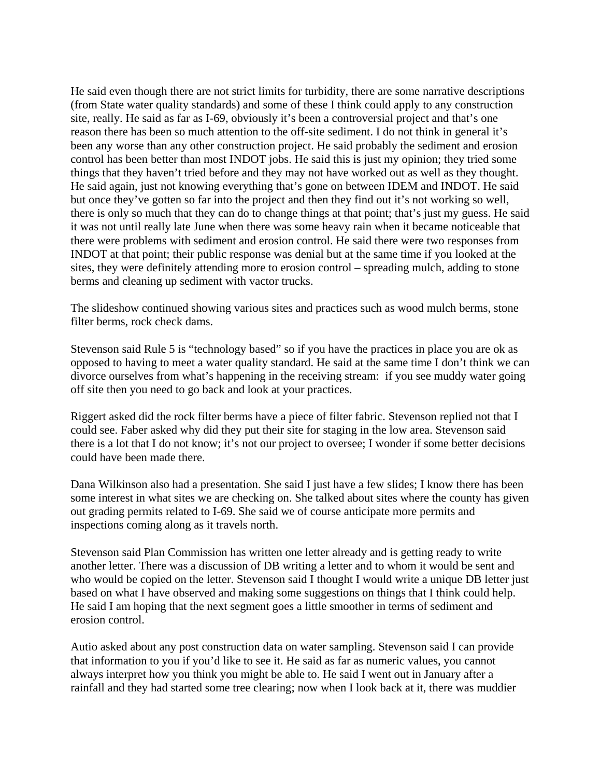He said even though there are not strict limits for turbidity, there are some narrative descriptions (from State water quality standards) and some of these I think could apply to any construction site, really. He said as far as I-69, obviously it's been a controversial project and that's one reason there has been so much attention to the off-site sediment. I do not think in general it's been any worse than any other construction project. He said probably the sediment and erosion control has been better than most INDOT jobs. He said this is just my opinion; they tried some things that they haven't tried before and they may not have worked out as well as they thought. He said again, just not knowing everything that's gone on between IDEM and INDOT. He said but once they've gotten so far into the project and then they find out it's not working so well, there is only so much that they can do to change things at that point; that's just my guess. He said it was not until really late June when there was some heavy rain when it became noticeable that there were problems with sediment and erosion control. He said there were two responses from INDOT at that point; their public response was denial but at the same time if you looked at the sites, they were definitely attending more to erosion control – spreading mulch, adding to stone berms and cleaning up sediment with vactor trucks.

The slideshow continued showing various sites and practices such as wood mulch berms, stone filter berms, rock check dams.

Stevenson said Rule 5 is "technology based" so if you have the practices in place you are ok as opposed to having to meet a water quality standard. He said at the same time I don't think we can divorce ourselves from what's happening in the receiving stream: if you see muddy water going off site then you need to go back and look at your practices.

Riggert asked did the rock filter berms have a piece of filter fabric. Stevenson replied not that I could see. Faber asked why did they put their site for staging in the low area. Stevenson said there is a lot that I do not know; it's not our project to oversee; I wonder if some better decisions could have been made there.

Dana Wilkinson also had a presentation. She said I just have a few slides; I know there has been some interest in what sites we are checking on. She talked about sites where the county has given out grading permits related to I-69. She said we of course anticipate more permits and inspections coming along as it travels north.

Stevenson said Plan Commission has written one letter already and is getting ready to write another letter. There was a discussion of DB writing a letter and to whom it would be sent and who would be copied on the letter. Stevenson said I thought I would write a unique DB letter just based on what I have observed and making some suggestions on things that I think could help. He said I am hoping that the next segment goes a little smoother in terms of sediment and erosion control.

Autio asked about any post construction data on water sampling. Stevenson said I can provide that information to you if you'd like to see it. He said as far as numeric values, you cannot always interpret how you think you might be able to. He said I went out in January after a rainfall and they had started some tree clearing; now when I look back at it, there was muddier